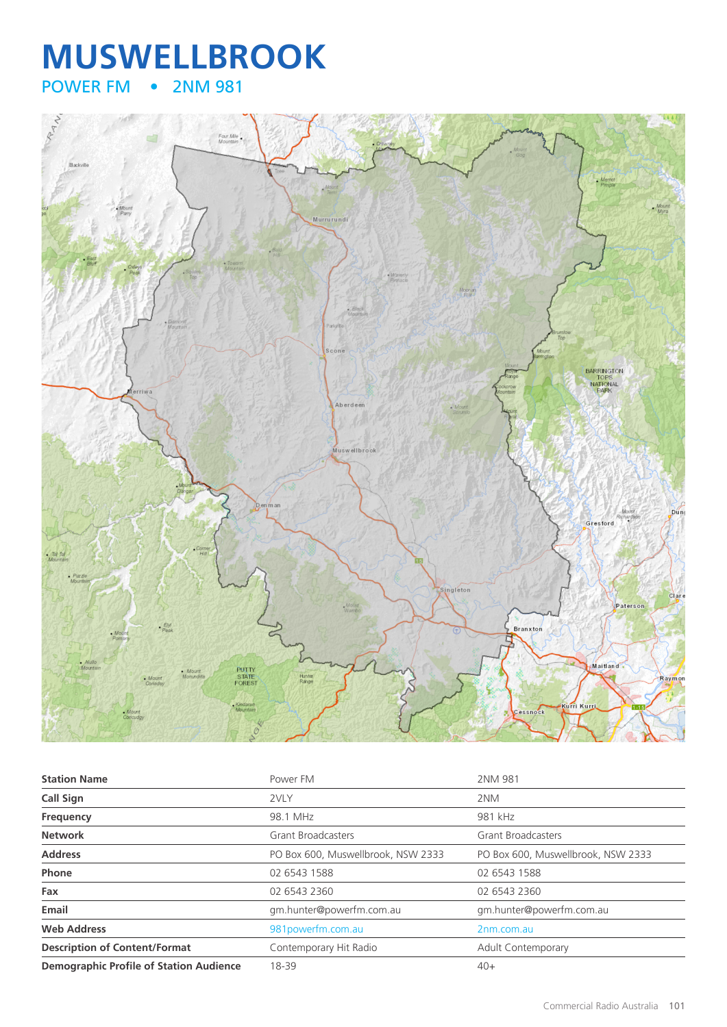## **MUSWELLBROOK**<br>POWER FM **•** 2NM 981 • 2NM 981



| <b>Station Name</b>                            | Power FM                           | 2NM 981                            |
|------------------------------------------------|------------------------------------|------------------------------------|
| <b>Call Sign</b>                               | 2VLY                               | 2NM                                |
| Frequency                                      | 98.1 MHz                           | 981 kHz                            |
| <b>Network</b>                                 | <b>Grant Broadcasters</b>          | <b>Grant Broadcasters</b>          |
| <b>Address</b>                                 | PO Box 600, Muswellbrook, NSW 2333 | PO Box 600, Muswellbrook, NSW 2333 |
| Phone                                          | 02 6543 1588                       | 02 6543 1588                       |
| Fax                                            | 02 6543 2360                       | 02 6543 2360                       |
| Email                                          | gm.hunter@powerfm.com.au           | gm.hunter@powerfm.com.au           |
| <b>Web Address</b>                             | 981powerfm.com.au                  | 2nm.com.au                         |
| <b>Description of Content/Format</b>           | Contemporary Hit Radio             | Adult Contemporary                 |
| <b>Demographic Profile of Station Audience</b> | 18-39                              | $40+$                              |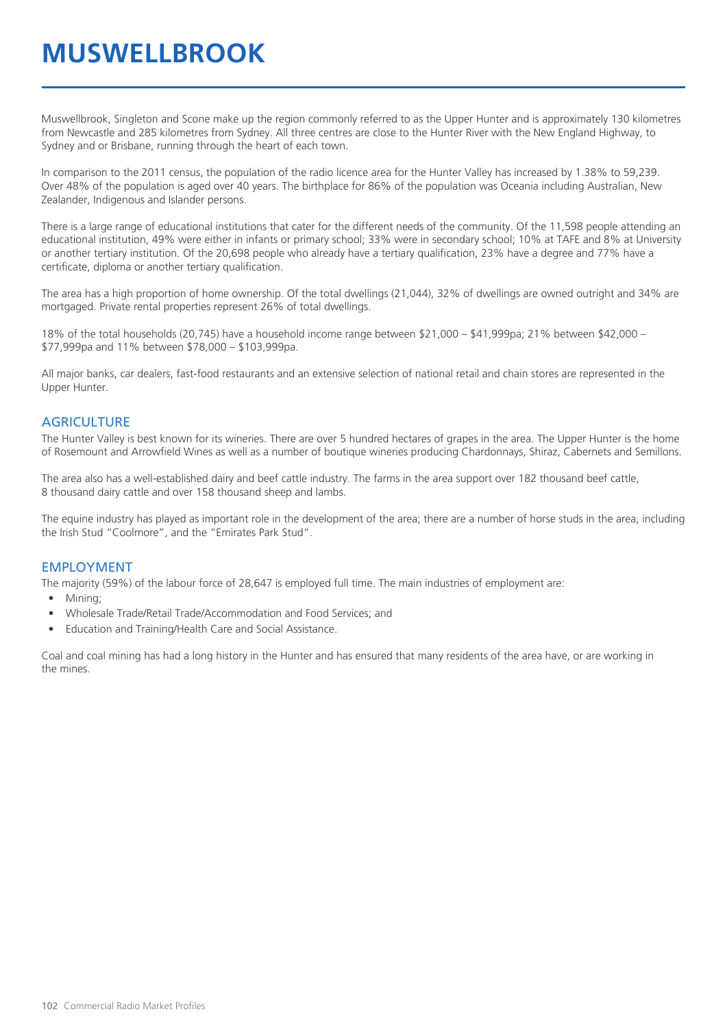## **MUSWELLBROOK**

Muswellbrook, Singleton and Scone make up the region commonly referred to as the Upper Hunter and is approximately 130 kilometres from Newcastle and 285 kilometres from Sydney. All three centres are close to the Hunter River with the New England Highway, to Sydney and or Brisbane, running through the heart of each town.

In comparison to the 2011 census, the population of the radio licence area for the Hunter Valley has increased by 1.38% to 59,239. Over 48% of the population is aged over 40 years. The birthplace for 86% of the population was Oceania including Australian, New Zealander, Indigenous and Islander persons.

There is a large range of educational institutions that cater for the different needs of the community. Of the 11,598 people attending an educational institution, 49% were either in infants or primary school; 33% were in secondary school; 10% at TAFE and 8% at University or another tertiary institution. Of the 20,698 people who already have a tertiary qualification, 23% have a degree and 77% have a certificate, diploma or another tertiary qualification.

The area has a high proportion of home ownership. Of the total dwellings (21,044), 32% of dwellings are owned outright and 34% are mortgaged. Private rental properties represent 26% of total dwellings.

18% of the total households (20,745) have a household income range between \$21,000 – \$41,999pa; 21% between \$42,000 – \$77,999pa and 11% between \$78,000 – \$103,999pa.

All major banks, car dealers, fast-food restaurants and an extensive selection of national retail and chain stores are represented in the Upper Hunter.

#### **AGRICULTURE**

The Hunter Valley is best known for its wineries. There are over 5 hundred hectares of grapes in the area. The Upper Hunter is the home of Rosemount and Arrowfield Wines as well as a number of boutique wineries producing Chardonnays, Shiraz, Cabernets and Semillons.

The area also has a well-established dairy and beef cattle industry. The farms in the area support over 182 thousand beef cattle, 8 thousand dairy cattle and over 158 thousand sheep and lambs.

The equine industry has played as important role in the development of the area; there are a number of horse studs in the area, including the Irish Stud "Coolmore", and the "Emirates Park Stud".

#### EMPLOYMENT

The majority (59%) of the labour force of 28,647 is employed full time. The main industries of employment are:

- Mining;
- Wholesale Trade/Retail Trade/Accommodation and Food Services; and
- Education and Training/Health Care and Social Assistance.

Coal and coal mining has had a long history in the Hunter and has ensured that many residents of the area have, or are working in the mines.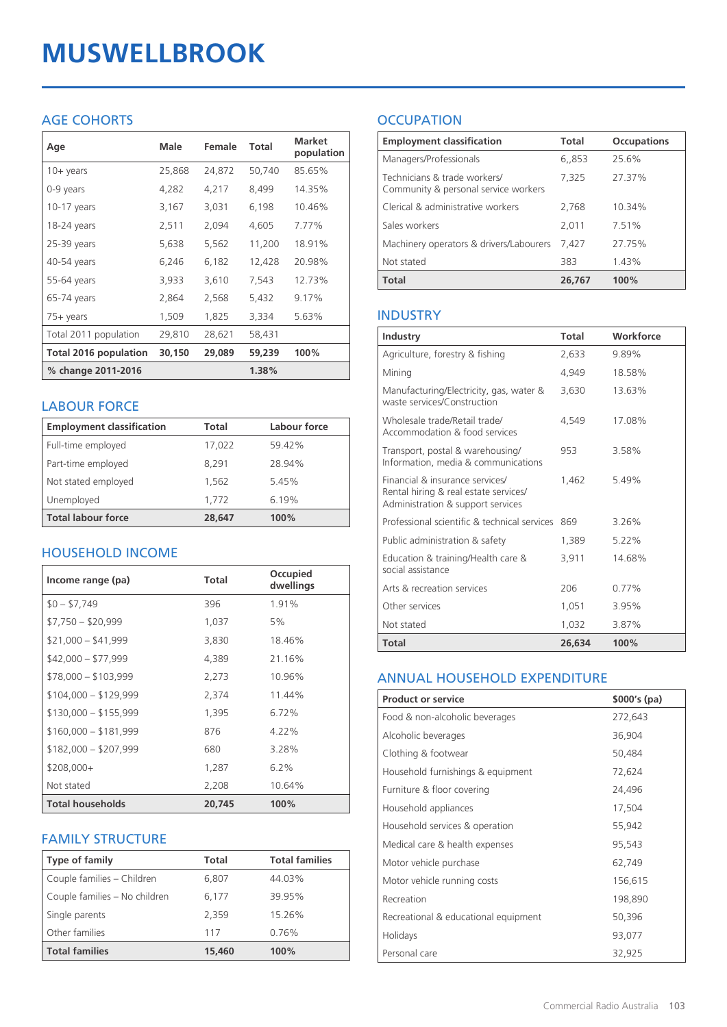# **MUSWELLBROOK**

## AGE COHORTS

| Age                          | Male   | Female | Total  | <b>Market</b><br>population |
|------------------------------|--------|--------|--------|-----------------------------|
| 10+ years                    | 25,868 | 24,872 | 50,740 | 85.65%                      |
| 0-9 years                    | 4,282  | 4,217  | 8,499  | 14.35%                      |
| $10-17$ years                | 3,167  | 3,031  | 6,198  | 10.46%                      |
| 18-24 years                  | 2,511  | 2,094  | 4,605  | 7.77%                       |
| $25-39$ years                | 5,638  | 5,562  | 11,200 | 18.91%                      |
| 40-54 years                  | 6,246  | 6,182  | 12,428 | 20.98%                      |
| 55-64 years                  | 3,933  | 3,610  | 7,543  | 12.73%                      |
| 65-74 years                  | 2,864  | 2,568  | 5,432  | 9.17%                       |
| $75+$ years                  | 1,509  | 1,825  | 3,334  | 5.63%                       |
| Total 2011 population        | 29,810 | 28,621 | 58,431 |                             |
| <b>Total 2016 population</b> | 30,150 | 29,089 | 59,239 | 100%                        |
| % change 2011-2016           |        |        | 1.38%  |                             |

#### LABOUR FORCE

| <b>Employment classification</b> | Total  | Labour force |
|----------------------------------|--------|--------------|
| Full-time employed               | 17,022 | 59.42%       |
| Part-time employed               | 8.291  | 28.94%       |
| Not stated employed              | 1.562  | 5.45%        |
| Unemployed                       | 1.772  | 6.19%        |
| <b>Total labour force</b>        | 28,647 | 100%         |

## HOUSEHOLD INCOME

| Income range (pa)       | <b>Total</b> | Occupied<br>dwellings |
|-------------------------|--------------|-----------------------|
| $$0 - $7,749$           | 396          | 1.91%                 |
| $$7,750 - $20,999$      | 1,037        | 5%                    |
| $$21,000 - $41,999$     | 3,830        | 18.46%                |
| $$42,000 - $77,999$     | 4,389        | 21.16%                |
| $$78,000 - $103,999$    | 2,273        | 10.96%                |
| $$104,000 - $129,999$   | 2,374        | 11.44%                |
| $$130,000 - $155,999$   | 1,395        | 6.72%                 |
| $$160,000 - $181,999$   | 876          | $4.22\%$              |
| $$182,000 - $207,999$   | 680          | 3.28%                 |
| $$208,000+$             | 1,287        | $6.2\%$               |
| Not stated              | 2,208        | 10.64%                |
| <b>Total households</b> | 20,745       | 100%                  |

#### FAMILY STRUCTURE

| <b>Type of family</b>         | Total  | <b>Total families</b> |
|-------------------------------|--------|-----------------------|
| Couple families - Children    | 6,807  | 44.03%                |
| Couple families - No children | 6.177  | 39.95%                |
| Single parents                | 2.359  | 15.26%                |
| Other families                | 117    | 0.76%                 |
| <b>Total families</b>         | 15,460 | 100%                  |

## **OCCUPATION**

| <b>Employment classification</b>                                     | <b>Total</b> | <b>Occupations</b> |
|----------------------------------------------------------------------|--------------|--------------------|
| Managers/Professionals                                               | 6,853        | 25.6%              |
| Technicians & trade workers/<br>Community & personal service workers | 7,325        | 27.37%             |
| Clerical & administrative workers                                    | 2,768        | 10.34%             |
| Sales workers                                                        | 2,011        | 7.51%              |
| Machinery operators & drivers/Labourers                              | 7.427        | 27.75%             |
| Not stated                                                           | 383          | 1.43%              |
| <b>Total</b>                                                         | 26,767       | 100%               |

#### INDUSTRY

| Industry                                                                                                      | Total  | Workforce |
|---------------------------------------------------------------------------------------------------------------|--------|-----------|
| Agriculture, forestry & fishing                                                                               | 2,633  | 9.89%     |
| Mining                                                                                                        | 4.949  | 18.58%    |
| Manufacturing/Electricity, gas, water &<br>waste services/Construction                                        | 3,630  | 13.63%    |
| Wholesale trade/Retail trade/<br>Accommodation & food services                                                | 4.549  | 17.08%    |
| Transport, postal & warehousing/<br>Information, media & communications                                       | 953    | 3.58%     |
| Financial & insurance services/<br>Rental hiring & real estate services/<br>Administration & support services | 1.462  | 5.49%     |
| Professional scientific & technical services                                                                  | 869    | 3.26%     |
| Public administration & safety                                                                                | 1,389  | 5.22%     |
| Education & training/Health care &<br>social assistance                                                       | 3,911  | 14.68%    |
| Arts & recreation services                                                                                    | 206    | 0.77%     |
| Other services                                                                                                | 1,051  | 3.95%     |
| Not stated                                                                                                    | 1,032  | 3.87%     |
| Total                                                                                                         | 26,634 | 100%      |

#### ANNUAL HOUSEHOLD EXPENDITURE

| <b>Product or service</b>            | $$000's$ (pa) |
|--------------------------------------|---------------|
| Food & non-alcoholic beverages       | 272,643       |
| Alcoholic beverages                  | 36,904        |
| Clothing & footwear                  | 50,484        |
| Household furnishings & equipment    | 72,624        |
| Furniture & floor covering           | 24,496        |
| Household appliances                 | 17,504        |
| Household services & operation       | 55,942        |
| Medical care & health expenses       | 95,543        |
| Motor vehicle purchase               | 62,749        |
| Motor vehicle running costs          | 156,615       |
| Recreation                           | 198,890       |
| Recreational & educational equipment | 50,396        |
| Holidays                             | 93,077        |
| Personal care                        | 32,925        |